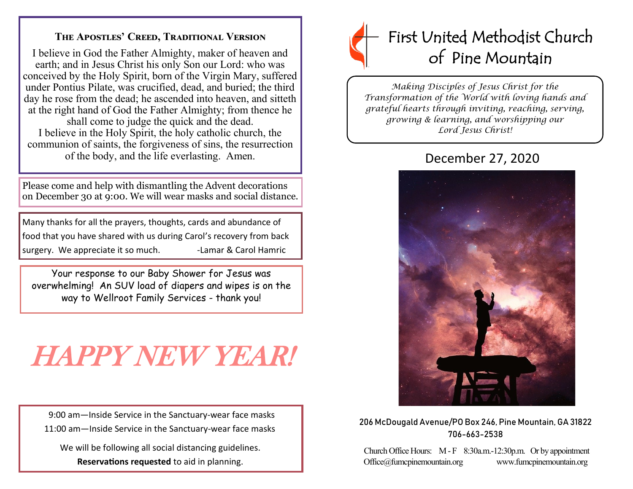## **The Apostles' Creed, Traditional Version**

I believe in God the Father Almighty, maker of heaven and earth; and in Jesus Christ his only Son our Lord: who was conceived by the Holy Spirit, born of the Virgin Mary, suffered under Pontius Pilate, was crucified, dead, and buried; the third day he rose from the dead; he ascended into heaven, and sitteth at the right hand of God the Father Almighty; from thence he shall come to judge the quick and the dead. I believe in the Holy Spirit, the holy catholic church, the communion of saints, the forgiveness of sins, the resurrection

of the body, and the life everlasting. Amen.

Please come and help with dismantling the Advent decorations on December 30 at 9:00. We will wear masks and social distance.

Many thanks for all the prayers, thoughts, cards and abundance of food that you have shared with us during Carol's recovery from back surgery. We appreciate it so much. - Lamar & Carol Hamric

Your response to our Baby Shower for Jesus was overwhelming! An SUV load of diapers and wipes is on the way to Wellroot Family Services - thank you!

# HAPPY NEW YEAR!

 9:00 am—Inside Service in the Sanctuary-wear face masks 11:00 am—Inside Service in the Sanctuary-wear face masks

 We will be following all social distancing guidelines. **Reservations requested** to aid in planning.



*Making Disciples of Jesus Christ for the Transformation of the World with loving hands and grateful hearts through inviting, reaching, serving, growing & learning, and worshipping our Lord Jesus Christ!* 

## December 27, 2020



206 McDougald Avenue/PO Box 246, Pine Mountain, GA 31822 706-663-2538

Church Office Hours: M - F 8:30a.m.-12:30p.m. Or by appointment Office@fumcpinemountain.org www.fumcpinemountain.org